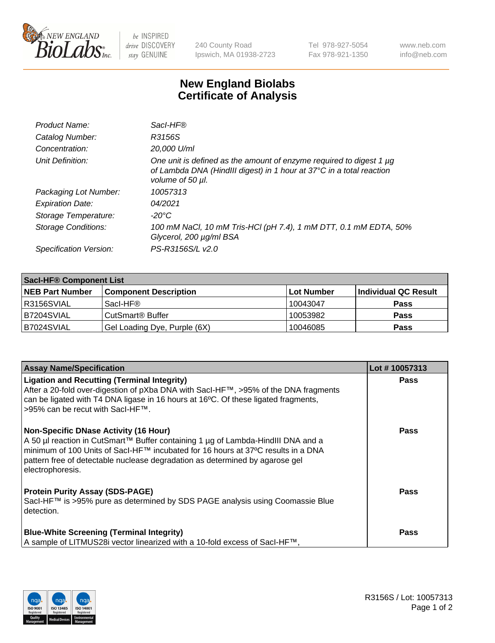

 $be$  INSPIRED drive DISCOVERY stay GENUINE

240 County Road Ipswich, MA 01938-2723 Tel 978-927-5054 Fax 978-921-1350 www.neb.com info@neb.com

## **New England Biolabs Certificate of Analysis**

| Product Name:           | Sacl-HF®                                                                                                                                                        |
|-------------------------|-----------------------------------------------------------------------------------------------------------------------------------------------------------------|
| Catalog Number:         | R3156S                                                                                                                                                          |
| Concentration:          | 20,000 U/ml                                                                                                                                                     |
| Unit Definition:        | One unit is defined as the amount of enzyme required to digest 1 µg<br>of Lambda DNA (HindIII digest) in 1 hour at 37°C in a total reaction<br>volume of 50 µl. |
| Packaging Lot Number:   | 10057313                                                                                                                                                        |
| <b>Expiration Date:</b> | 04/2021                                                                                                                                                         |
| Storage Temperature:    | $-20^{\circ}$ C                                                                                                                                                 |
| Storage Conditions:     | 100 mM NaCl, 10 mM Tris-HCl (pH 7.4), 1 mM DTT, 0.1 mM EDTA, 50%<br>Glycerol, 200 µg/ml BSA                                                                     |
| Specification Version:  | PS-R3156S/L v2.0                                                                                                                                                |

| <b>Saci-HF® Component List</b> |                              |            |                      |  |
|--------------------------------|------------------------------|------------|----------------------|--|
| <b>NEB Part Number</b>         | <b>Component Description</b> | Lot Number | Individual QC Result |  |
| I R3156SVIAL                   | Sacl-HF®                     | 10043047   | <b>Pass</b>          |  |
| B7204SVIAL                     | CutSmart <sup>®</sup> Buffer | 10053982   | <b>Pass</b>          |  |
| IB7024SVIAL                    | Gel Loading Dye, Purple (6X) | 10046085   | <b>Pass</b>          |  |

| <b>Assay Name/Specification</b>                                                                                                                                                                                                                                                                                          | Lot #10057313 |
|--------------------------------------------------------------------------------------------------------------------------------------------------------------------------------------------------------------------------------------------------------------------------------------------------------------------------|---------------|
| <b>Ligation and Recutting (Terminal Integrity)</b><br>After a 20-fold over-digestion of pXba DNA with Sacl-HF™, >95% of the DNA fragments<br>can be ligated with T4 DNA ligase in 16 hours at 16°C. Of these ligated fragments,<br>>95% can be recut with SacI-HF™.                                                      | <b>Pass</b>   |
| <b>Non-Specific DNase Activity (16 Hour)</b><br>A 50 µl reaction in CutSmart™ Buffer containing 1 µg of Lambda-HindIII DNA and a<br>minimum of 100 Units of SacI-HF™ incubated for 16 hours at 37°C results in a DNA<br>pattern free of detectable nuclease degradation as determined by agarose gel<br>electrophoresis. | <b>Pass</b>   |
| <b>Protein Purity Assay (SDS-PAGE)</b><br>SacI-HF™ is >95% pure as determined by SDS PAGE analysis using Coomassie Blue<br>detection.                                                                                                                                                                                    | <b>Pass</b>   |
| <b>Blue-White Screening (Terminal Integrity)</b><br>A sample of LITMUS28i vector linearized with a 10-fold excess of SacI-HF™,                                                                                                                                                                                           | Pass          |